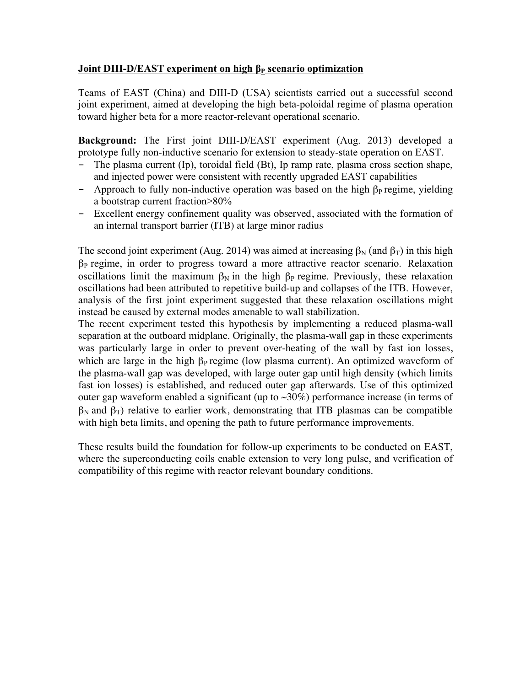## **Joint DIII-D/EAST experiment on high β<sub>P</sub> scenario optimization**

Teams of EAST (China) and DIII-D (USA) scientists carried out a successful second joint experiment, aimed at developing the high beta-poloidal regime of plasma operation toward higher beta for a more reactor-relevant operational scenario.

**Background:** The First joint DIII-D/EAST experiment (Aug. 2013) developed a prototype fully non-inductive scenario for extension to steady-state operation on EAST.

- The plasma current (Ip), toroidal field (Bt), Ip ramp rate, plasma cross section shape, and injected power were consistent with recently upgraded EAST capabilities
- Approach to fully non-inductive operation was based on the high  $\beta_P$  regime, yielding a bootstrap current fraction>80%
- Excellent energy confinement quality was observed, associated with the formation of an internal transport barrier (ITB) at large minor radius

The second joint experiment (Aug. 2014) was aimed at increasing  $\beta_N$  (and  $\beta_T$ ) in this high  $\beta_P$  regime, in order to progress toward a more attractive reactor scenario. Relaxation oscillations limit the maximum  $\beta_N$  in the high  $\beta_P$  regime. Previously, these relaxation oscillations had been attributed to repetitive build-up and collapses of the ITB. However, analysis of the first joint experiment suggested that these relaxation oscillations might instead be caused by external modes amenable to wall stabilization.

The recent experiment tested this hypothesis by implementing a reduced plasma-wall separation at the outboard midplane. Originally, the plasma-wall gap in these experiments was particularly large in order to prevent over-heating of the wall by fast ion losses, which are large in the high  $\beta_P$  regime (low plasma current). An optimized waveform of the plasma-wall gap was developed, with large outer gap until high density (which limits fast ion losses) is established, and reduced outer gap afterwards. Use of this optimized outer gap waveform enabled a significant (up to  $\sim 30\%$ ) performance increase (in terms of  $β_N$  and  $β_T$ ) relative to earlier work, demonstrating that ITB plasmas can be compatible with high beta limits, and opening the path to future performance improvements.

These results build the foundation for follow-up experiments to be conducted on EAST, where the superconducting coils enable extension to very long pulse, and verification of compatibility of this regime with reactor relevant boundary conditions.